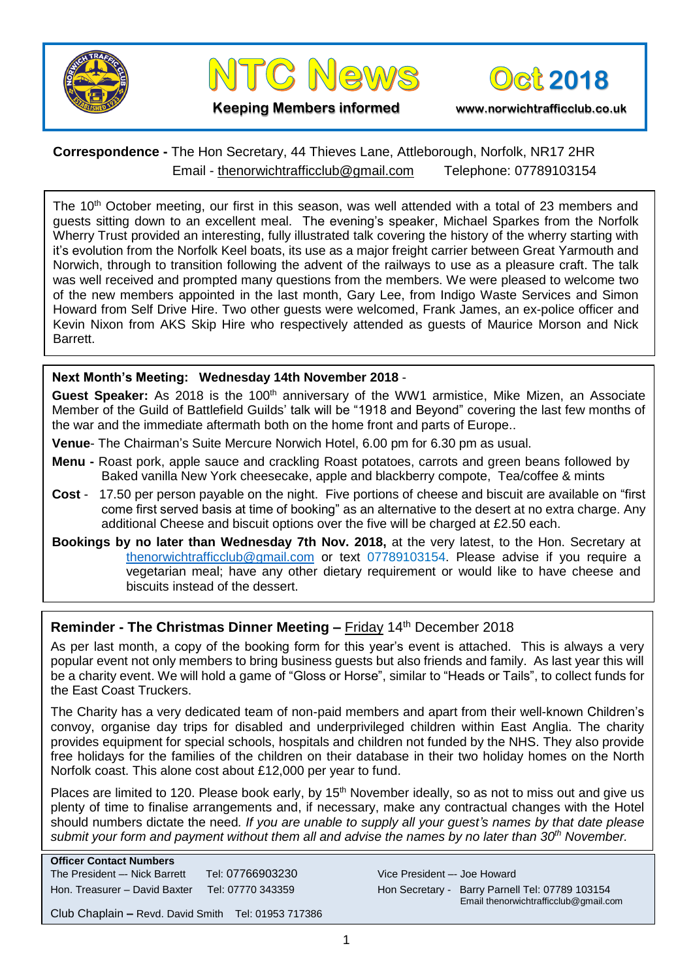



**2018**

**Keeping Members informed www.norwichtrafficclub.co.uk**

## **Correspondence -** The Hon Secretary, 44 Thieves Lane, Attleborough, Norfolk, NR17 2HR Email - [thenorwichtrafficclub@gmail.com](mailto:thenorwichtrafficclub@gmail.com) Telephone: 07789103154

The 10<sup>th</sup> October meeting, our first in this season, was well attended with a total of 23 members and guests sitting down to an excellent meal. The evening's speaker, Michael Sparkes from the Norfolk Wherry Trust provided an interesting, fully illustrated talk covering the history of the wherry starting with it's evolution from the Norfolk Keel boats, its use as a major freight carrier between Great Yarmouth and Norwich, through to transition following the advent of the railways to use as a pleasure craft. The talk was well received and prompted many questions from the members. We were pleased to welcome two of the new members appointed in the last month, Gary Lee, from Indigo Waste Services and Simon Howard from Self Drive Hire. Two other guests were welcomed, Frank James, an ex-police officer and Kevin Nixon from AKS Skip Hire who respectively attended as guests of Maurice Morson and Nick Barrett.

## **Next Month's Meeting: Wednesday 14th November 2018** -

**Guest Speaker:** As 2018 is the 100<sup>th</sup> anniversary of the WW1 armistice. Mike Mizen, an Associate Member of the Guild of Battlefield Guilds' talk will be "1918 and Beyond" covering the last few months of the war and the immediate aftermath both on the home front and parts of Europe..

- **Venue** The Chairman's Suite Mercure Norwich Hotel, 6.00 pm for 6.30 pm as usual.
- **Menu -** Roast pork, apple sauce and crackling Roast potatoes, carrots and green beans followed by Baked vanilla New York cheesecake, apple and blackberry compote, Tea/coffee & mints
- **Cost**  17.50 per person payable on the night. Five portions of cheese and biscuit are available on "first come first served basis at time of booking" as an alternative to the desert at no extra charge. Any additional Cheese and biscuit options over the five will be charged at £2.50 each.
- **Bookings by no later than Wednesday 7th Nov. 2018,** at the very latest, to the Hon. Secretary at [thenorwichtrafficclub@gmail.com](mailto:thenorwichtrafficclub@gmail.com) or text 07789103154. Please advise if you require a vegetarian meal; have any other dietary requirement or would like to have cheese and biscuits instead of the dessert.

## **Reminder - The Christmas Dinner Meeting –** Friday 14th December 2018

As per last month, a copy of the booking form for this year's event is attached. This is always a very popular event not only members to bring business guests but also friends and family. As last year this will be a charity event. We will hold a game of "Gloss or Horse", similar to "Heads or Tails", to collect funds for the East Coast Truckers.

The Charity has a very dedicated team of non-paid members and apart from their well-known Children's convoy, organise day trips for disabled and underprivileged children within East Anglia. The charity provides equipment for special schools, hospitals and children not funded by the NHS. They also provide free holidays for the families of the children on their database in their two holiday homes on the North Norfolk coast. This alone cost about £12,000 per year to fund.

Places are limited to 120. Please book early, by 15<sup>th</sup> November ideally, so as not to miss out and give us plenty of time to finalise arrangements and, if necessary, make any contractual changes with the Hotel should numbers dictate the need*. If you are unable to supply all your guest's names by that date please submit your form and payment without them all and advise the names by no later than 30th November.*

| <b>Officer Contact Numbers</b> |                   |
|--------------------------------|-------------------|
| The President -- Nick Barrett  | Tel: 07766903230  |
| Hon. Treasurer - David Baxter  | Tel: 07770 343359 |
|                                |                   |

Vice President –- Joe Howard Hon Secretary - Barry Parnell Tel: 07789 103154 Email thenorwichtrafficclub@gmail.com

Club Chaplain **–** Revd. David Smith Tel: 01953 717386